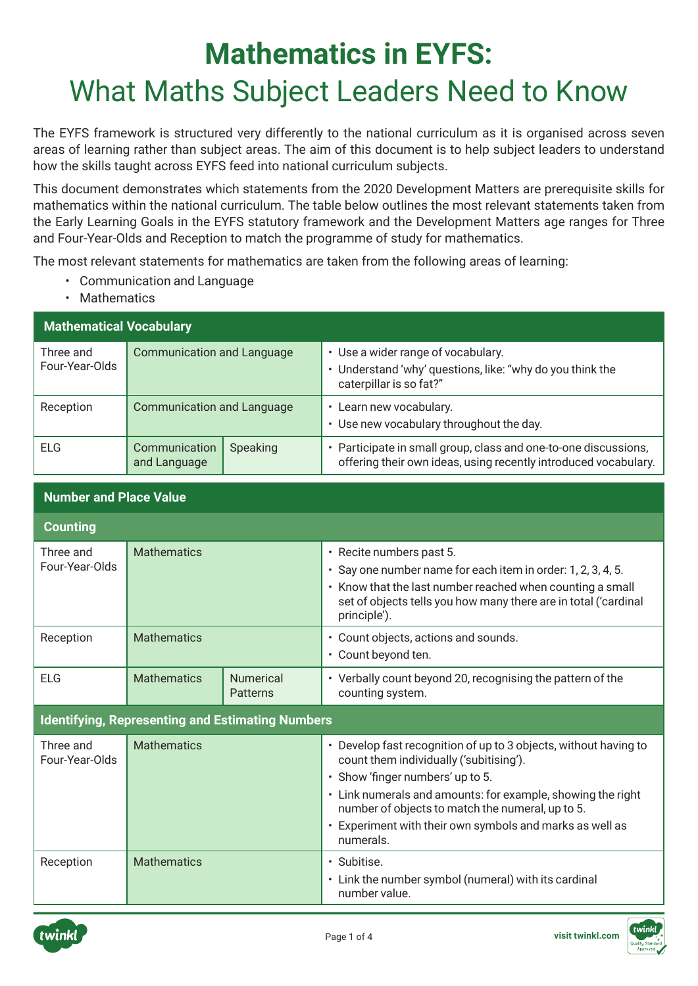## **Mathematics in EYFS:**  What Maths Subject Leaders Need to Know

The EYFS framework is structured very differently to the national curriculum as it is organised across seven areas of learning rather than subject areas. The aim of this document is to help subject leaders to understand how the skills taught across EYFS feed into national curriculum subjects.

This document demonstrates which statements from the 2020 Development Matters are prerequisite skills for mathematics within the national curriculum. The table below outlines the most relevant statements taken from the Early Learning Goals in the EYFS statutory framework and the Development Matters age ranges for Three and Four-Year-Olds and Reception to match the programme of study for mathematics.

The most relevant statements for mathematics are taken from the following areas of learning:

- Communication and Language
- Mathematics

| <b>Mathematical Vocabulary</b> |                                   |          |                                                                                                                                    |
|--------------------------------|-----------------------------------|----------|------------------------------------------------------------------------------------------------------------------------------------|
| Three and<br>Four-Year-Olds    | <b>Communication and Language</b> |          | • Use a wider range of vocabulary.<br>• Understand 'why' questions, like: "why do you think the<br>caterpillar is so fat?"         |
| Reception                      | <b>Communication and Language</b> |          | Learn new vocabulary.<br>• Use new vocabulary throughout the day.                                                                  |
| ELG                            | Communication<br>and Language     | Speaking | • Participate in small group, class and one-to-one discussions,<br>offering their own ideas, using recently introduced vocabulary. |

## **Number and Place Value Counting** Three and Four-Year-Olds Mathematics **• Recite numbers past 5.** • Say one number name for each item in order: 1, 2, 3, 4, 5. • Know that the last number reached when counting a small set of objects tells you how many there are in total ('cardinal principle'). Reception Mathematics **• Counting Counting Counting Counting Counting Counting Counting Counting Counting Counting Counting Counting Counting Counting Counting Counting Counting Counting Counting Counting Counting Counting** • Count beyond ten. ELG Mathematics Numerical **Patterns** • Verbally count beyond 20, recognising the pattern of the counting system. **Identifying, Representing and Estimating Numbers** Three and Four-Year-Olds Mathematics **• Develop fast recognition of up to 3 objects, without having to** count them individually ('subitising'). • Show 'finger numbers' up to 5. • Link numerals and amounts: for example, showing the right number of objects to match the numeral, up to 5. • Experiment with their own symbols and marks as well as numerals. Reception | Mathematics | Subitise. • Link the number symbol (numeral) with its cardinal number value.



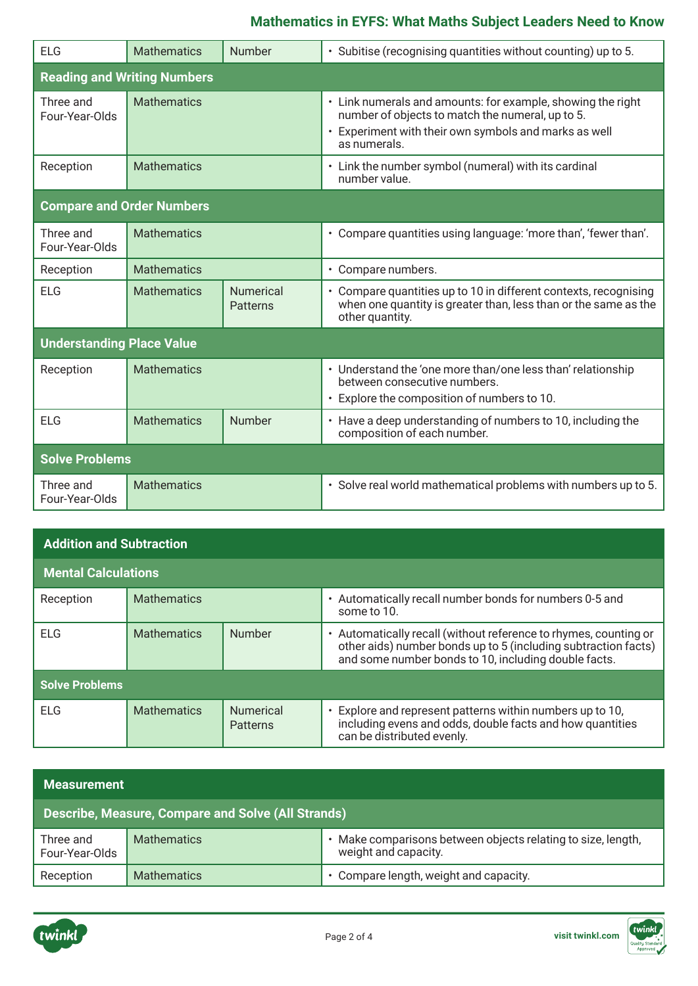## **Mathematics in EYFS: What Maths Subject Leaders Need to Know**

| FIG                              | <b>Mathematics</b>                 | Number                       | · Subitise (recognising quantities without counting) up to 5.                                                                                                                            |  |
|----------------------------------|------------------------------------|------------------------------|------------------------------------------------------------------------------------------------------------------------------------------------------------------------------------------|--|
|                                  | <b>Reading and Writing Numbers</b> |                              |                                                                                                                                                                                          |  |
| Three and<br>Four-Year-Olds      | <b>Mathematics</b>                 |                              | • Link numerals and amounts: for example, showing the right<br>number of objects to match the numeral, up to 5.<br>• Experiment with their own symbols and marks as well<br>as numerals. |  |
| Reception                        | <b>Mathematics</b>                 |                              | • Link the number symbol (numeral) with its cardinal<br>number value.                                                                                                                    |  |
| <b>Compare and Order Numbers</b> |                                    |                              |                                                                                                                                                                                          |  |
| Three and<br>Four-Year-Olds      | <b>Mathematics</b>                 |                              | • Compare quantities using language: 'more than', 'fewer than'.                                                                                                                          |  |
| Reception                        | <b>Mathematics</b>                 |                              | • Compare numbers.                                                                                                                                                                       |  |
| <b>ELG</b>                       | <b>Mathematics</b>                 | <b>Numerical</b><br>Patterns | • Compare quantities up to 10 in different contexts, recognising<br>when one quantity is greater than, less than or the same as the<br>other quantity.                                   |  |
| <b>Understanding Place Value</b> |                                    |                              |                                                                                                                                                                                          |  |
| Reception                        | <b>Mathematics</b>                 |                              | • Understand the 'one more than/one less than' relationship<br>between consecutive numbers.<br>• Explore the composition of numbers to 10.                                               |  |
| <b>ELG</b>                       | <b>Mathematics</b>                 | Number                       | • Have a deep understanding of numbers to 10, including the<br>composition of each number.                                                                                               |  |
| <b>Solve Problems</b>            |                                    |                              |                                                                                                                                                                                          |  |
| Three and<br>Four-Year-Olds      | <b>Mathematics</b>                 |                              | · Solve real world mathematical problems with numbers up to 5.                                                                                                                           |  |

| <b>Addition and Subtraction</b> |                    |                                     |                                                                                                                                                                                            |
|---------------------------------|--------------------|-------------------------------------|--------------------------------------------------------------------------------------------------------------------------------------------------------------------------------------------|
| <b>Mental Calculations</b>      |                    |                                     |                                                                                                                                                                                            |
| Reception                       | <b>Mathematics</b> |                                     | • Automatically recall number bonds for numbers 0-5 and<br>some to 10.                                                                                                                     |
| ELG                             | <b>Mathematics</b> | Number                              | • Automatically recall (without reference to rhymes, counting or<br>other aids) number bonds up to 5 (including subtraction facts)<br>and some number bonds to 10, including double facts. |
| <b>Solve Problems</b>           |                    |                                     |                                                                                                                                                                                            |
| FLG                             | <b>Mathematics</b> | <b>Numerical</b><br><b>Patterns</b> | • Explore and represent patterns within numbers up to 10,<br>including evens and odds, double facts and how quantities<br>can be distributed evenly.                                       |

| <b>Measurement</b>                                 |                    |                                                                                    |
|----------------------------------------------------|--------------------|------------------------------------------------------------------------------------|
| Describe, Measure, Compare and Solve (All Strands) |                    |                                                                                    |
| Three and<br>Four-Year-Olds                        | <b>Mathematics</b> | Make comparisons between objects relating to size, length,<br>weight and capacity. |
| Reception                                          | <b>Mathematics</b> | Compare length, weight and capacity.                                               |

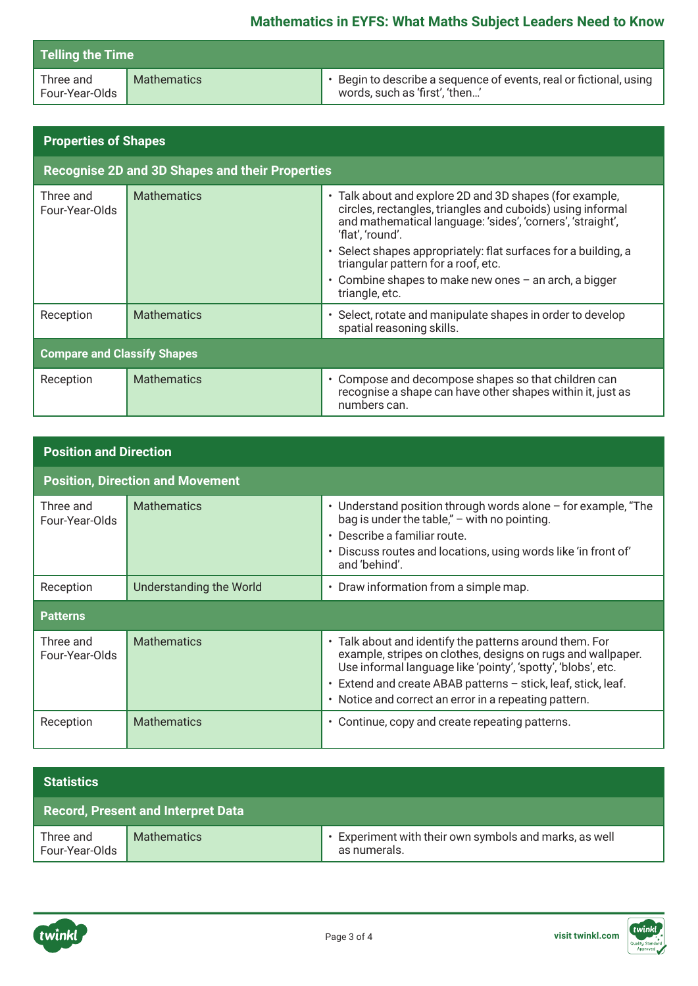| <b>Telling the Time</b>     |                    |                                                                                                      |  |
|-----------------------------|--------------------|------------------------------------------------------------------------------------------------------|--|
| Three and<br>Four-Year-Olds | <b>Mathematics</b> | • Begin to describe a sequence of events, real or fictional, using<br>words, such as 'first', 'then' |  |

| <b>Properties of Shapes</b>                            |                    |                                                                                                                                                                                                                                                                                                                                                                                               |  |
|--------------------------------------------------------|--------------------|-----------------------------------------------------------------------------------------------------------------------------------------------------------------------------------------------------------------------------------------------------------------------------------------------------------------------------------------------------------------------------------------------|--|
| <b>Recognise 2D and 3D Shapes and their Properties</b> |                    |                                                                                                                                                                                                                                                                                                                                                                                               |  |
| Three and<br>Four-Year-Olds                            | <b>Mathematics</b> | • Talk about and explore 2D and 3D shapes (for example,<br>circles, rectangles, triangles and cuboids) using informal<br>and mathematical language: 'sides', 'corners', 'straight',<br>'flat', 'round'.<br>· Select shapes appropriately: flat surfaces for a building, a<br>triangular pattern for a roof, etc.<br>• Combine shapes to make new ones $-$ an arch, a bigger<br>triangle, etc. |  |
| Reception                                              | <b>Mathematics</b> | · Select, rotate and manipulate shapes in order to develop<br>spatial reasoning skills.                                                                                                                                                                                                                                                                                                       |  |
| <b>Compare and Classify Shapes</b>                     |                    |                                                                                                                                                                                                                                                                                                                                                                                               |  |
| Reception                                              | <b>Mathematics</b> | • Compose and decompose shapes so that children can<br>recognise a shape can have other shapes within it, just as<br>numbers can.                                                                                                                                                                                                                                                             |  |

| <b>Position and Direction</b> |                                         |                                                                                                                                                                                                                                                                                                                  |  |  |
|-------------------------------|-----------------------------------------|------------------------------------------------------------------------------------------------------------------------------------------------------------------------------------------------------------------------------------------------------------------------------------------------------------------|--|--|
|                               | <b>Position, Direction and Movement</b> |                                                                                                                                                                                                                                                                                                                  |  |  |
| Three and<br>Four-Year-Olds   | <b>Mathematics</b>                      | • Understand position through words alone - for example, "The<br>bag is under the table," $-$ with no pointing.<br>• Describe a familiar route.<br>• Discuss routes and locations, using words like 'in front of'<br>and 'behind'.                                                                               |  |  |
| Reception                     | Understanding the World                 | • Draw information from a simple map.                                                                                                                                                                                                                                                                            |  |  |
| <b>Patterns</b>               |                                         |                                                                                                                                                                                                                                                                                                                  |  |  |
| Three and<br>Four-Year-Olds   | <b>Mathematics</b>                      | • Talk about and identify the patterns around them. For<br>example, stripes on clothes, designs on rugs and wallpaper.<br>Use informal language like 'pointy', 'spotty', 'blobs', etc.<br>• Extend and create ABAB patterns - stick, leaf, stick, leaf.<br>• Notice and correct an error in a repeating pattern. |  |  |
| Reception                     | <b>Mathematics</b>                      | • Continue, copy and create repeating patterns.                                                                                                                                                                                                                                                                  |  |  |

| <b>Statistics</b>                         |                    |                                                                        |
|-------------------------------------------|--------------------|------------------------------------------------------------------------|
| <b>Record, Present and Interpret Data</b> |                    |                                                                        |
| Three and<br>Four-Year-Olds               | <b>Mathematics</b> | • Experiment with their own symbols and marks, as well<br>as numerals. |